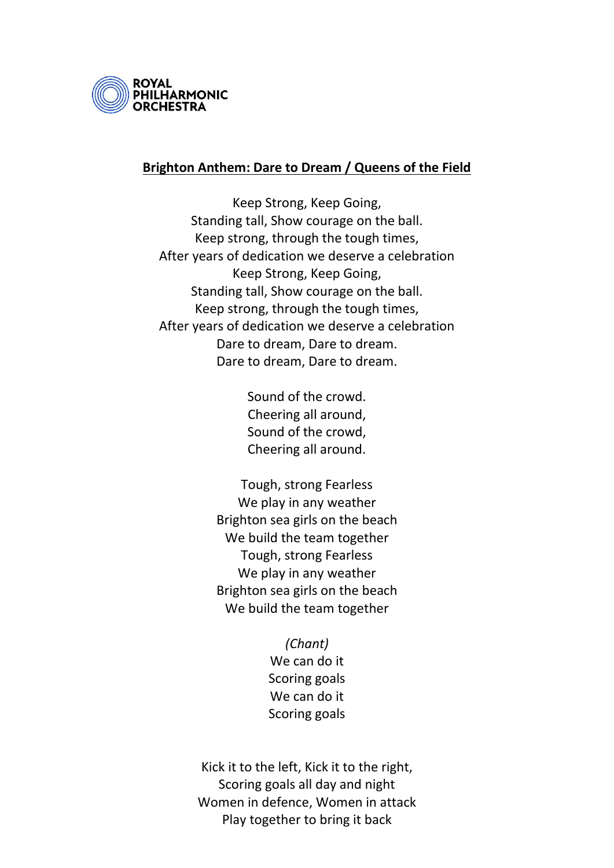

## **Brighton Anthem: Dare to Dream / Queens of the Field**

Keep Strong, Keep Going, Standing tall, Show courage on the ball. Keep strong, through the tough times, After years of dedication we deserve a celebration Keep Strong, Keep Going, Standing tall, Show courage on the ball. Keep strong, through the tough times, After years of dedication we deserve a celebration Dare to dream, Dare to dream. Dare to dream, Dare to dream.

> Sound of the crowd. Cheering all around, Sound of the crowd, Cheering all around.

Tough, strong Fearless We play in any weather Brighton sea girls on the beach We build the team together Tough, strong Fearless We play in any weather Brighton sea girls on the beach We build the team together

> *(Chant)* We can do it Scoring goals We can do it Scoring goals

Kick it to the left, Kick it to the right, Scoring goals all day and night Women in defence, Women in attack Play together to bring it back